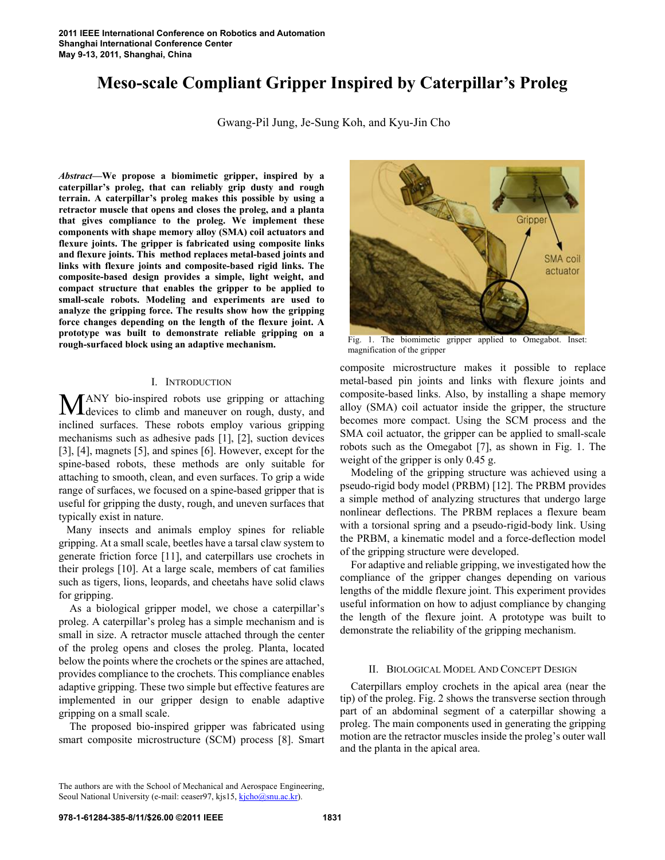# **Meso-scale Compliant Gripper Inspired by Caterpillar's Proleg**

Gwang-Pil Jung, Je-Sung Koh, and Kyu-Jin Cho

*Abstract***—We propose a biomimetic gripper, inspired by a caterpillar's proleg, that can reliably grip dusty and rough terrain. A caterpillar's proleg makes this possible by using a retractor muscle that opens and closes the proleg, and a planta that gives compliance to the proleg. We implement these components with shape memory alloy (SMA) coil actuators and flexure joints. The gripper is fabricated using composite links and flexure joints. This method replaces metal-based joints and links with flexure joints and composite-based rigid links. The composite-based design provides a simple, light weight, and compact structure that enables the gripper to be applied to small-scale robots. Modeling and experiments are used to analyze the gripping force. The results show how the gripping force changes depending on the length of the flexure joint. A prototype was built to demonstrate reliable gripping on a rough-surfaced block using an adaptive mechanism.** 

## I. INTRODUCTION

ANY bio-inspired robots use gripping or attaching MANY bio-inspired robots use gripping or attaching<br>devices to climb and maneuver on rough, dusty, and inclined surfaces. These robots employ various gripping mechanisms such as adhesive pads [1], [2], suction devices [3], [4], magnets [5], and spines [6]. However, except for the spine-based robots, these methods are only suitable for attaching to smooth, clean, and even surfaces. To grip a wide range of surfaces, we focused on a spine-based gripper that is useful for gripping the dusty, rough, and uneven surfaces that typically exist in nature.

 Many insects and animals employ spines for reliable gripping. At a small scale, beetles have a tarsal claw system to generate friction force [11], and caterpillars use crochets in their prolegs [10]. At a large scale, members of cat families such as tigers, lions, leopards, and cheetahs have solid claws for gripping.

As a biological gripper model, we chose a caterpillar's proleg. A caterpillar's proleg has a simple mechanism and is small in size. A retractor muscle attached through the center of the proleg opens and closes the proleg. Planta, located below the points where the crochets or the spines are attached, provides compliance to the crochets. This compliance enables adaptive gripping. These two simple but effective features are implemented in our gripper design to enable adaptive gripping on a small scale.

The proposed bio-inspired gripper was fabricated using smart composite microstructure (SCM) process [8]. Smart



Fig. 1. The biomimetic gripper applied to Omegabot. Inset: magnification of the gripper

composite microstructure makes it possible to replace metal-based pin joints and links with flexure joints and composite-based links. Also, by installing a shape memory alloy (SMA) coil actuator inside the gripper, the structure becomes more compact. Using the SCM process and the SMA coil actuator, the gripper can be applied to small-scale robots such as the Omegabot [7], as shown in Fig. 1. The weight of the gripper is only 0.45 g.

Modeling of the gripping structure was achieved using a pseudo-rigid body model (PRBM) [12]. The PRBM provides a simple method of analyzing structures that undergo large nonlinear deflections. The PRBM replaces a flexure beam with a torsional spring and a pseudo-rigid-body link. Using the PRBM, a kinematic model and a force-deflection model of the gripping structure were developed.

For adaptive and reliable gripping, we investigated how the compliance of the gripper changes depending on various lengths of the middle flexure joint. This experiment provides useful information on how to adjust compliance by changing the length of the flexure joint. A prototype was built to demonstrate the reliability of the gripping mechanism.

# II. BIOLOGICAL MODEL AND CONCEPT DESIGN

Caterpillars employ crochets in the apical area (near the tip) of the proleg. Fig. 2 shows the transverse section through part of an abdominal segment of a caterpillar showing a proleg. The main components used in generating the gripping motion are the retractor muscles inside the proleg's outer wall and the planta in the apical area.

The authors are with the School of Mechanical and Aerospace Engineering, Seoul National University (e-mail: ceaser97, kjs15, kjcho@snu.ac.kr).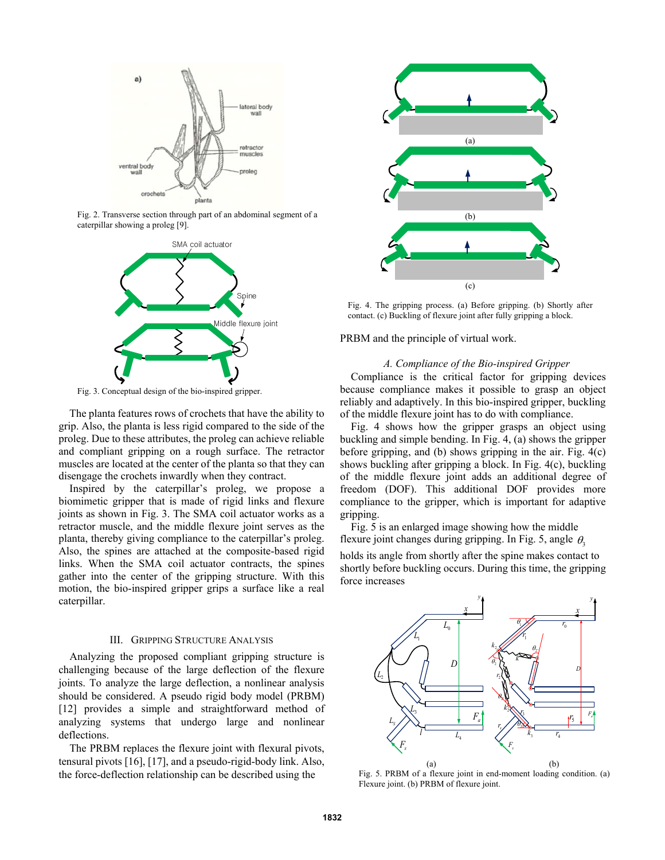

Fig. 2. Transverse section through part of an abdominal segment of a caterpillar showing a proleg [9].



Fig. 3. Conceptual design of the bio-inspired gripper.

The planta features rows of crochets that have the ability to grip. Also, the planta is less rigid compared to the side of the proleg. Due to these attributes, the proleg can achieve reliable and compliant gripping on a rough surface. The retractor muscles are located at the center of the planta so that they can disengage the crochets inwardly when they contract.

Inspired by the caterpillar's proleg, we propose a biomimetic gripper that is made of rigid links and flexure joints as shown in Fig. 3. The SMA coil actuator works as a retractor muscle, and the middle flexure joint serves as the planta, thereby giving compliance to the caterpillar's proleg. Also, the spines are attached at the composite-based rigid links. When the SMA coil actuator contracts, the spines gather into the center of the gripping structure. With this motion, the bio-inspired gripper grips a surface like a real caterpillar.

## III. GRIPPING STRUCTURE ANALYSIS

Analyzing the proposed compliant gripping structure is challenging because of the large deflection of the flexure joints. To analyze the large deflection, a nonlinear analysis should be considered. A pseudo rigid body model (PRBM) [12] provides a simple and straightforward method of analyzing systems that undergo large and nonlinear deflections.

The PRBM replaces the flexure joint with flexural pivots, tensural pivots [16], [17], and a pseudo-rigid-body link. Also, the force-deflection relationship can be described using the



Fig. 4. The gripping process. (a) Before gripping. (b) Shortly after contact. (c) Buckling of flexure joint after fully gripping a block.

PRBM and the principle of virtual work.

## *A. Compliance of the Bio-inspired Gripper*

Compliance is the critical factor for gripping devices because compliance makes it possible to grasp an object reliably and adaptively. In this bio-inspired gripper, buckling of the middle flexure joint has to do with compliance.

Fig. 4 shows how the gripper grasps an object using buckling and simple bending. In Fig. 4, (a) shows the gripper before gripping, and (b) shows gripping in the air. Fig. 4(c) shows buckling after gripping a block. In Fig. 4(c), buckling of the middle flexure joint adds an additional degree of freedom (DOF). This additional DOF provides more compliance to the gripper, which is important for adaptive gripping.

Fig. 5 is an enlarged image showing how the middle flexure joint changes during gripping. In Fig. 5, angle  $\theta_3$ 

holds its angle from shortly after the spine makes contact to shortly before buckling occurs. During this time, the gripping force increases



Fig. 5. PRBM of a flexure joint in end-moment loading condition. (a) Flexure joint. (b) PRBM of flexure joint.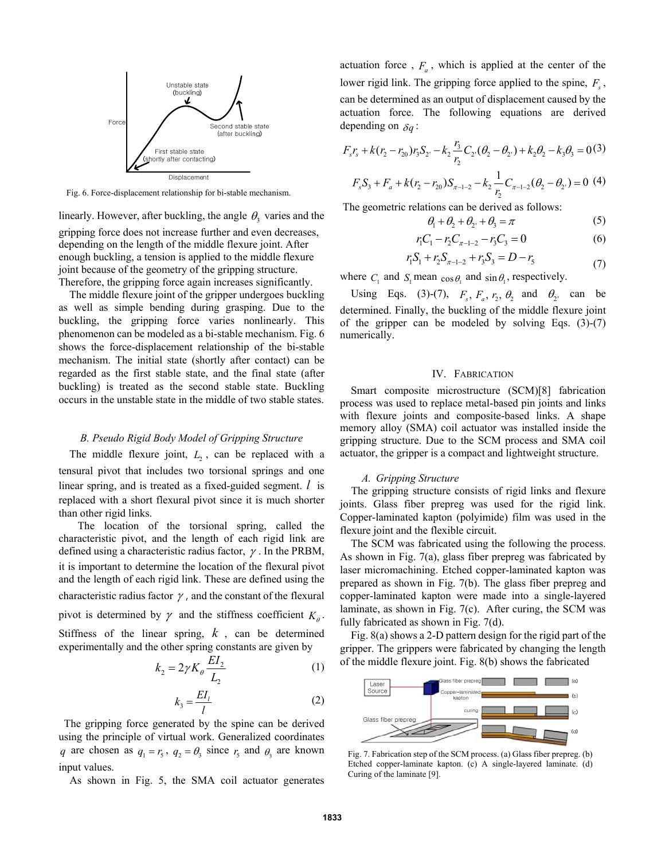

Fig. 6. Force-displacement relationship for bi-stable mechanism.

linearly. However, after buckling, the angle  $\theta_3$  varies and the gripping force does not increase further and even decreases, depending on the length of the middle flexure joint. After enough buckling, a tension is applied to the middle flexure joint because of the geometry of the gripping structure. Therefore, the gripping force again increases significantly.

The middle flexure joint of the gripper undergoes buckling as well as simple bending during grasping. Due to the buckling, the gripping force varies nonlinearly. This phenomenon can be modeled as a bi-stable mechanism. Fig. 6 shows the force-displacement relationship of the bi-stable mechanism. The initial state (shortly after contact) can be regarded as the first stable state, and the final state (after buckling) is treated as the second stable state. Buckling occurs in the unstable state in the middle of two stable states.

### *B. Pseudo Rigid Body Model of Gripping Structure*

The middle flexure joint,  $L<sub>2</sub>$ , can be replaced with a tensural pivot that includes two torsional springs and one linear spring, and is treated as a fixed-guided segment. *l* is replaced with a short flexural pivot since it is much shorter than other rigid links.

 The location of the torsional spring, called the characteristic pivot, and the length of each rigid link are defined using a characteristic radius factor,  $\gamma$ . In the PRBM, it is important to determine the location of the flexural pivot and the length of each rigid link. These are defined using the characteristic radius factor  $\gamma$ , and the constant of the flexural pivot is determined by  $\gamma$  and the stiffness coefficient  $K_{\beta}$ . Stiffness of the linear spring, *k* , can be determined experimentally and the other spring constants are given by

$$
k_2 = 2\gamma K_\theta \frac{EI_2}{L_2} \tag{1}
$$

$$
k_3 = \frac{EI_l}{l} \tag{2}
$$

The gripping force generated by the spine can be derived using the principle of virtual work. Generalized coordinates *q* are chosen as  $q_1 = r_5$ ,  $q_2 = \theta_3$  since  $r_5$  and  $\theta_3$  are known input values.

As shown in Fig. 5, the SMA coil actuator generates

actuation force,  $F_a$ , which is applied at the center of the lower rigid link. The gripping force applied to the spine,  $F_s$ , can be determined as an output of displacement caused by the actuation force. The following equations are derived depending on  $\delta q$ :

$$
F_{s}r_{s} + k(r_{2} - r_{20})r_{3}S_{2} - k_{2}\frac{r_{3}}{r_{2}}C_{2}(\theta_{2} - \theta_{2}) + k_{2}\theta_{2} - k_{3}\theta_{3} = 0
$$
(3)

$$
F_s S_3 + F_a + k(r_2 - r_{20}) S_{\pi - 1 - 2} - k_2 \frac{1}{r_2} C_{\pi - 1 - 2} (\theta_2 - \theta_2) = 0
$$
 (4)

The geometric relations can be derived as follows:

$$
\theta_1 + \theta_2 + \theta_2 + \theta_3 = \pi \tag{5}
$$

$$
r_1 C_1 - r_2 C_{\pi - 1 - 2} - r_3 C_3 = 0 \tag{6}
$$

$$
r_1 S_1 + r_2 S_{\pi - 1 - 2} + r_3 S_3 = D - r_5 \tag{7}
$$

where  $C_1$  and  $S_1$  mean  $\cos\theta_1$  and  $\sin\theta_1$ , respectively.

Using Eqs. (3)-(7),  $F_s$ ,  $F_a$ ,  $r_2$ ,  $\theta_2$  and  $\theta_2$  can be determined. Finally, the buckling of the middle flexure joint of the gripper can be modeled by solving Eqs.  $(3)-(7)$ numerically.

#### IV. FABRICATION

Smart composite microstructure (SCM)[8] fabrication process was used to replace metal-based pin joints and links with flexure joints and composite-based links. A shape memory alloy (SMA) coil actuator was installed inside the gripping structure. Due to the SCM process and SMA coil actuator, the gripper is a compact and lightweight structure.

### *A. Gripping Structure*

The gripping structure consists of rigid links and flexure joints. Glass fiber prepreg was used for the rigid link. Copper-laminated kapton (polyimide) film was used in the flexure joint and the flexible circuit.

The SCM was fabricated using the following the process. As shown in Fig. 7(a), glass fiber prepreg was fabricated by laser micromachining. Etched copper-laminated kapton was prepared as shown in Fig. 7(b). The glass fiber prepreg and copper-laminated kapton were made into a single-layered laminate, as shown in Fig. 7(c). After curing, the SCM was fully fabricated as shown in Fig. 7(d).

Fig. 8(a) shows a 2-D pattern design for the rigid part of the gripper. The grippers were fabricated by changing the length of the middle flexure joint. Fig. 8(b) shows the fabricated



Fig. 7. Fabrication step of the SCM process. (a) Glass fiber prepreg. (b) Etched copper-laminate kapton. (c) A single-layered laminate. (d) Curing of the laminate [9].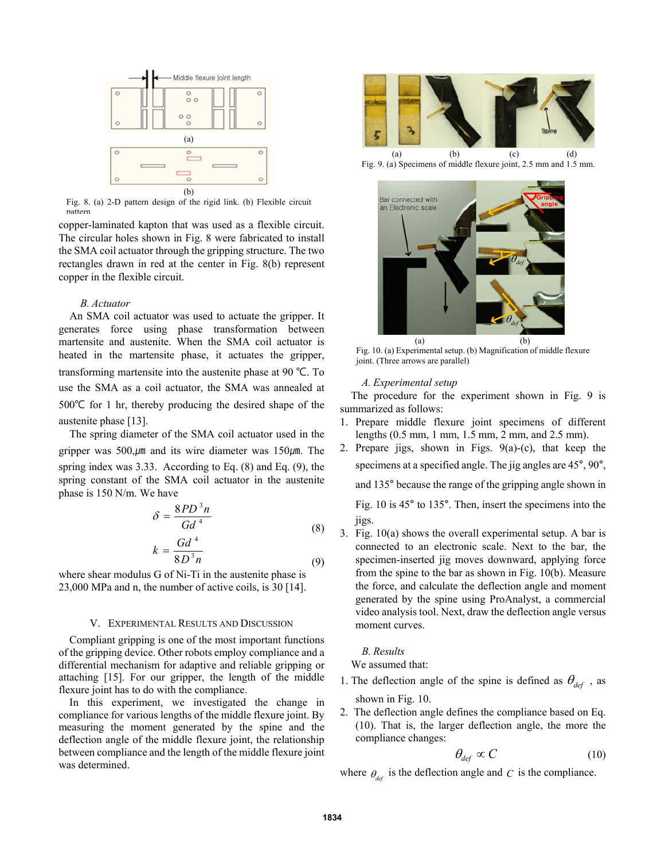

Fig. 8. (a) 2-D pattern design of the rigid link. (b) Flexible circuit pattern

copper-laminated kapton that was used as a flexible circuit. The circular holes shown in Fig. 8 were fabricated to install the SMA coil actuator through the gripping structure. The two rectangles drawn in red at the center in Fig. 8(b) represent copper in the flexible circuit.

## *B. Actuator*

An SMA coil actuator was used to actuate the gripper. It generates force using phase transformation between martensite and austenite. When the SMA coil actuator is heated in the martensite phase, it actuates the gripper, transforming martensite into the austenite phase at 90 ℃. To use the SMA as a coil actuator, the SMA was annealed at 500℃ for 1 hr, thereby producing the desired shape of the austenite phase [13].

The spring diameter of the SMA coil actuator used in the gripper was  $500 \mu m$  and its wire diameter was  $150 \mu m$ . The spring index was 3.33. According to Eq. (8) and Eq. (9), the spring constant of the SMA coil actuator in the austenite phase is 150 N/m. We have

$$
\delta = \frac{8PD^3n}{Gd^4}
$$
\n
$$
k = \frac{Gd^4}{8D^3n}
$$
\n(8)

$$
k = \frac{6a}{8D^3n}
$$
 (9)

where shear modulus G of Ni-Ti in the austenite phase is 23,000 MPa and n, the number of active coils, is 30 [14].

## V. EXPERIMENTAL RESULTS AND DISCUSSION

Compliant gripping is one of the most important functions of the gripping device. Other robots employ compliance and a differential mechanism for adaptive and reliable gripping or attaching [15]. For our gripper, the length of the middle flexure joint has to do with the compliance.

In this experiment, we investigated the change in compliance for various lengths of the middle flexure joint. By measuring the moment generated by the spine and the deflection angle of the middle flexure joint, the relationship between compliance and the length of the middle flexure joint was determined.



Fig. 9. (a) Specimens of middle flexure joint, 2.5 mm and 1.5 mm.



Fig. 10. (a) Experimental setup. (b) Magnification of middle flexure joint. (Three arrows are parallel)

# *A. Experimental setup*

The procedure for the experiment shown in Fig. 9 is summarized as follows:

- 1. Prepare middle flexure joint specimens of different lengths (0.5 mm, 1 mm, 1.5 mm, 2 mm, and 2.5 mm).
- 2. Prepare jigs, shown in Figs. 9(a)-(c), that keep the specimens at a specified angle. The jig angles are 45°, 90°,

and 135° because the range of the gripping angle shown in

Fig. 10 is 45° to 135°. Then, insert the specimens into the jigs.

3. Fig. 10(a) shows the overall experimental setup. A bar is connected to an electronic scale. Next to the bar, the specimen-inserted jig moves downward, applying force from the spine to the bar as shown in Fig. 10(b). Measure the force, and calculate the deflection angle and moment generated by the spine using ProAnalyst, a commercial video analysis tool. Next, draw the deflection angle versus moment curves.

# *B. Results*

We assumed that:

- 1. The deflection angle of the spine is defined as  $\theta_{def}$ , as shown in Fig. 10.
- 2. The deflection angle defines the compliance based on Eq. (10). That is, the larger deflection angle, the more the compliance changes:

$$
\theta_{def} \propto C \tag{10}
$$

where  $\theta_{\text{def}}$  is the deflection angle and *C* is the compliance.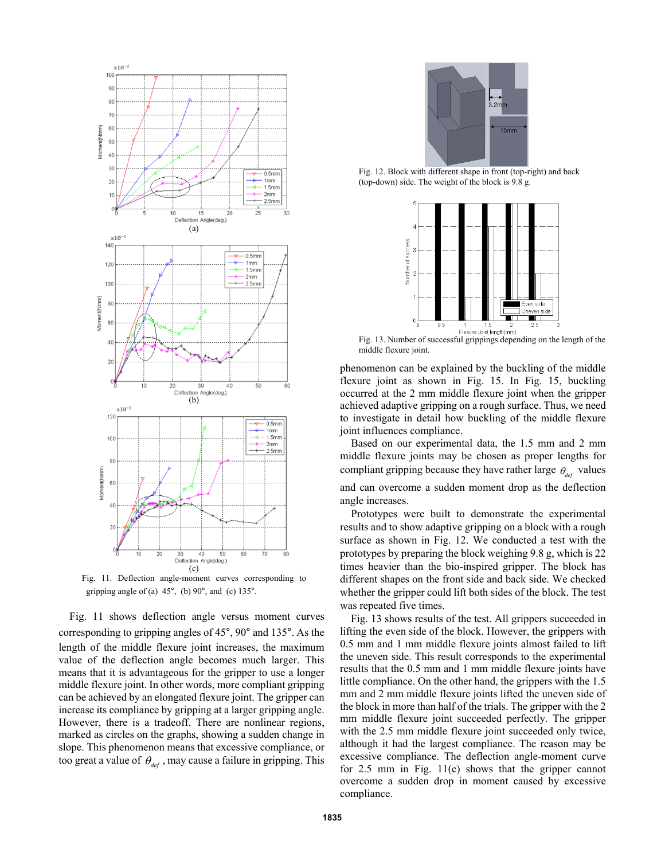

Fig. 11. Deflection angle-moment curves corresponding to gripping angle of (a)  $45^\circ$ , (b)  $90^\circ$ , and (c)  $135^\circ$ .

Fig. 11 shows deflection angle versus moment curves corresponding to gripping angles of 45°, 90° and 135°. As the length of the middle flexure joint increases, the maximum value of the deflection angle becomes much larger. This means that it is advantageous for the gripper to use a longer middle flexure joint. In other words, more compliant gripping can be achieved by an elongated flexure joint. The gripper can increase its compliance by gripping at a larger gripping angle. However, there is a tradeoff. There are nonlinear regions, marked as circles on the graphs, showing a sudden change in slope. This phenomenon means that excessive compliance, or too great a value of  $\theta_{\text{def}}$ , may cause a failure in gripping. This



Fig. 12. Block with different shape in front (top-right) and back (top-down) side. The weight of the block is 9.8 g.



Fig. 13. Number of successful grippings depending on the length of the middle flexure joint.

phenomenon can be explained by the buckling of the middle flexure joint as shown in Fig. 15. In Fig. 15, buckling occurred at the 2 mm middle flexure joint when the gripper achieved adaptive gripping on a rough surface. Thus, we need to investigate in detail how buckling of the middle flexure joint influences compliance.

Based on our experimental data, the 1.5 mm and 2 mm middle flexure joints may be chosen as proper lengths for compliant gripping because they have rather large  $\theta_{\text{def}}$  values and can overcome a sudden moment drop as the deflection angle increases.

Prototypes were built to demonstrate the experimental results and to show adaptive gripping on a block with a rough surface as shown in Fig. 12. We conducted a test with the prototypes by preparing the block weighing 9.8 g, which is 22 times heavier than the bio-inspired gripper. The block has different shapes on the front side and back side. We checked whether the gripper could lift both sides of the block. The test was repeated five times.

Fig. 13 shows results of the test. All grippers succeeded in lifting the even side of the block. However, the grippers with 0.5 mm and 1 mm middle flexure joints almost failed to lift the uneven side. This result corresponds to the experimental results that the 0.5 mm and 1 mm middle flexure joints have little compliance. On the other hand, the grippers with the 1.5 mm and 2 mm middle flexure joints lifted the uneven side of the block in more than half of the trials. The gripper with the 2 mm middle flexure joint succeeded perfectly. The gripper with the 2.5 mm middle flexure joint succeeded only twice, although it had the largest compliance. The reason may be excessive compliance. The deflection angle-moment curve for 2.5 mm in Fig. 11(c) shows that the gripper cannot overcome a sudden drop in moment caused by excessive compliance.